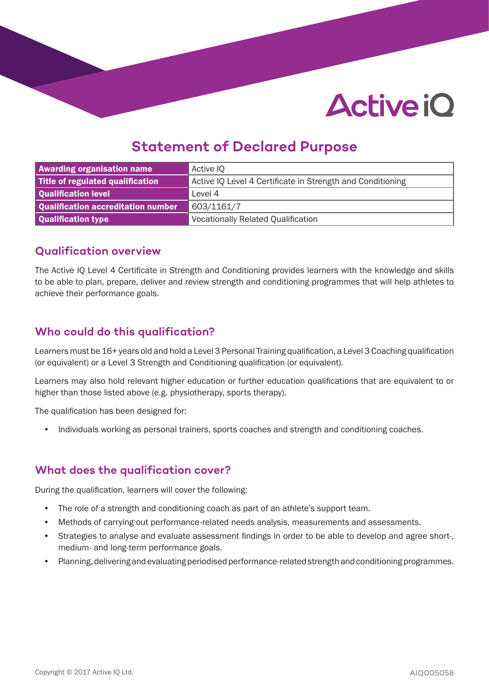# **Active iO**

# **Statement of Declared Purpose**

| <b>Awarding organisation name</b>  | Active IQ                                                  |  |
|------------------------------------|------------------------------------------------------------|--|
| Title of regulated qualification   | Active IQ Level 4 Certificate in Strength and Conditioning |  |
| Qualification level                | Level 4                                                    |  |
| Qualification accreditation number | 603/1161/7                                                 |  |
| Qualification type                 | <b>Vocationally Related Qualification</b>                  |  |

#### **Qualification overview**

The Active IQ Level 4 Certificate in Strength and Conditioning provides learners with the knowledge and skills to be able to plan, prepare, deliver and review strength and conditioning programmes that will help athletes to achieve their performance goals.

### **Who could do this qualification?**

Learners must be 16+ years old and hold a Level 3 Personal Training qualification, a Level 3 Coaching qualification (or equivalent) or a Level 3 Strength and Conditioning qualification (or equivalent).

Learners may also hold relevant higher education or further education qualifications that are equivalent to or higher than those listed above (e.g. physiotherapy, sports therapy).

The qualification has been designed for:

• Individuals working as personal trainers, sports coaches and strength and conditioning coaches.

#### **What does the qualification cover?**

During the qualification, learners will cover the following:

- The role of a strength and conditioning coach as part of an athlete's support team.
- Methods of carrying out performance-related needs analysis, measurements and assessments.
- Strategies to analyse and evaluate assessment findings in order to be able to develop and agree short-, medium- and long-term performance goals.
- Planning, delivering and evaluating periodised performance-related strength and conditioning programmes.